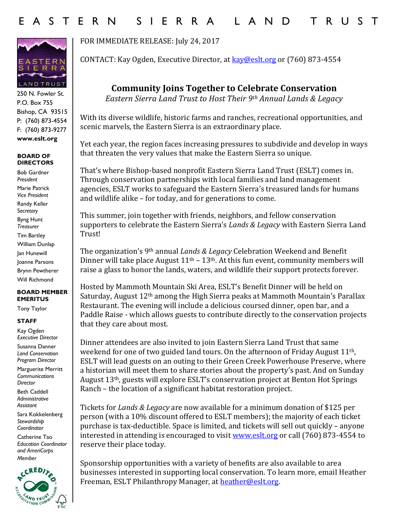

250 N. Fowler St. P.O. Box 755 Bishop, CA 93515 P: (760) 873-4554 F: (760) 873-9277 **www.eslt.org**

## **BOARD OF DIRECTORS**

Bob Gardner *President* Marie Patrick *Vice President* Randy Keller S*ecretary* Byng Hunt *Treasurer* Tim Bartley William Dunlap Jan Hunewill Joanne Parsons Brynn Pewtherer Will Richmond

## **BOARD MEMBER EMERITUS**

Tony Taylor

## **STAFF**

Kay Ogden *Executive Director* Susanna Danner

*Land Conservation Program Director*

Marguerite Merritt *Communications Director*

Beth Caddell *Administrative Assistant* 

Sara Kokkelenberg *Stewardship Coordinator* 

Catherine Tao *Education Coordinator and AmeriCorps Member* 



FOR IMMEDIATE RELEASE: July 24, 2017

CONTACT: Kay Ogden, Executive Director, at [kay@eslt.org](mailto:kay@eslt.org) or (760) 873-4554

**Community Joins Together to Celebrate Conservation**

*Eastern Sierra Land Trust to Host Their 9th Annual Lands & Legacy*

With its diverse wildlife, historic farms and ranches, recreational opportunities, and scenic marvels, the Eastern Sierra is an extraordinary place.

Yet each year, the region faces increasing pressures to subdivide and develop in ways that threaten the very values that make the Eastern Sierra so unique.

That's where Bishop-based nonprofit Eastern Sierra Land Trust (ESLT) comes in. Through conservation partnerships with local families and land management agencies, ESLT works to safeguard the Eastern Sierra's treasured lands for humans and wildlife alike – for today, and for generations to come.

This summer, join together with friends, neighbors, and fellow conservation supporters to celebrate the Eastern Sierra's *Lands & Legacy* with Eastern Sierra Land Trust!

The organization's 9th annual *Lands & Legacy* Celebration Weekend and Benefit Dinner will take place August  $11<sup>th</sup> - 13<sup>th</sup>$ . At this fun event, community members will raise a glass to honor the lands, waters, and wildlife their support protects forever.

Hosted by Mammoth Mountain Ski Area, ESLT's Benefit Dinner will be held on Saturday, August 12th among the High Sierra peaks at Mammoth Mountain's Parallax Restaurant. The evening will include a delicious coursed dinner, open bar, and a Paddle Raise - which allows guests to contribute directly to the conservation projects that they care about most.

Dinner attendees are also invited to join Eastern Sierra Land Trust that same weekend for one of two guided land tours. On the afternoon of Friday August 11<sup>th</sup>, ESLT will lead guests on an outing to their Green Creek Powerhouse Preserve, where a historian will meet them to share stories about the property's past. And on Sunday August 13th, guests will explore ESLT's conservation project at Benton Hot Springs Ranch – the location of a significant habitat restoration project.

Tickets for *Lands & Legacy* are now available for a minimum donation of \$125 per person (with a 10% discount offered to ESLT members); the majority of each ticket purchase is tax-deductible. Space is limited, and tickets will sell out quickly – anyone interested in attending is encouraged to visit [www.eslt.org](http://www.eslt.org/) or call (760) 873-4554 to reserve their place today.

Sponsorship opportunities with a variety of benefits are also available to area businesses interested in supporting local conservation. To learn more, email Heather Freeman, ESLT Philanthropy Manager, at **heather@eslt.org**.